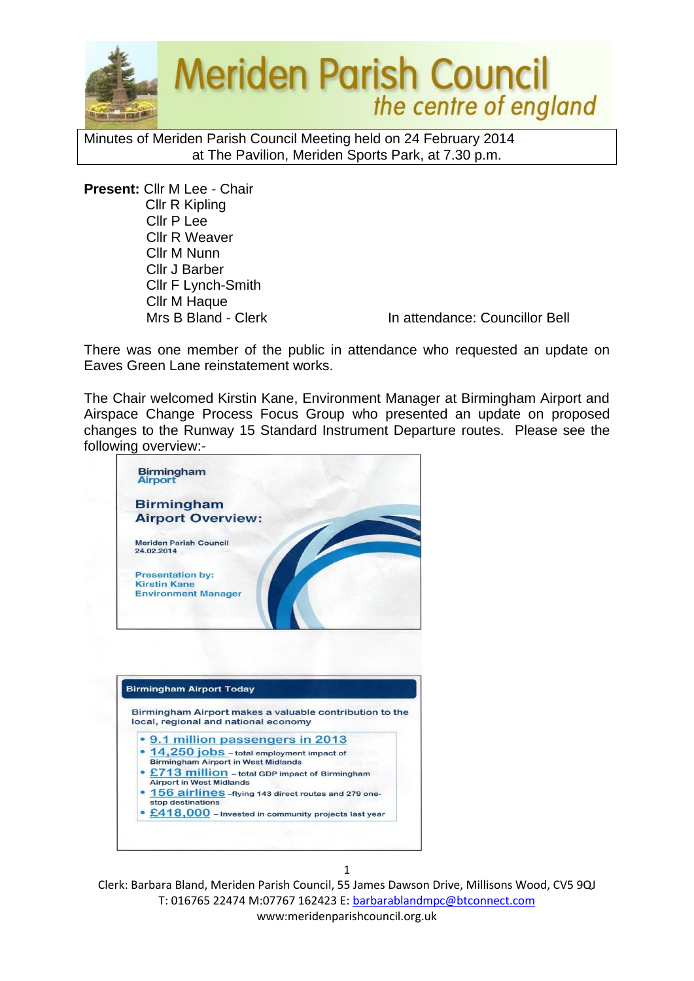

Minutes of Meriden Parish Council Meeting held on 24 February 2014 at The Pavilion, Meriden Sports Park, at 7.30 p.m.

**Present:** Cllr M Lee - Chair Cllr R Kipling Cllr P Lee Cllr R Weaver Cllr M Nunn Cllr J Barber Cllr F Lynch-Smith Cllr M Haque

Mrs B Bland - Clerk In attendance: Councillor Bell

There was one member of the public in attendance who requested an update on Eaves Green Lane reinstatement works.

The Chair welcomed Kirstin Kane, Environment Manager at Birmingham Airport and Airspace Change Process Focus Group who presented an update on proposed changes to the Runway 15 Standard Instrument Departure routes. Please see the following overview:-

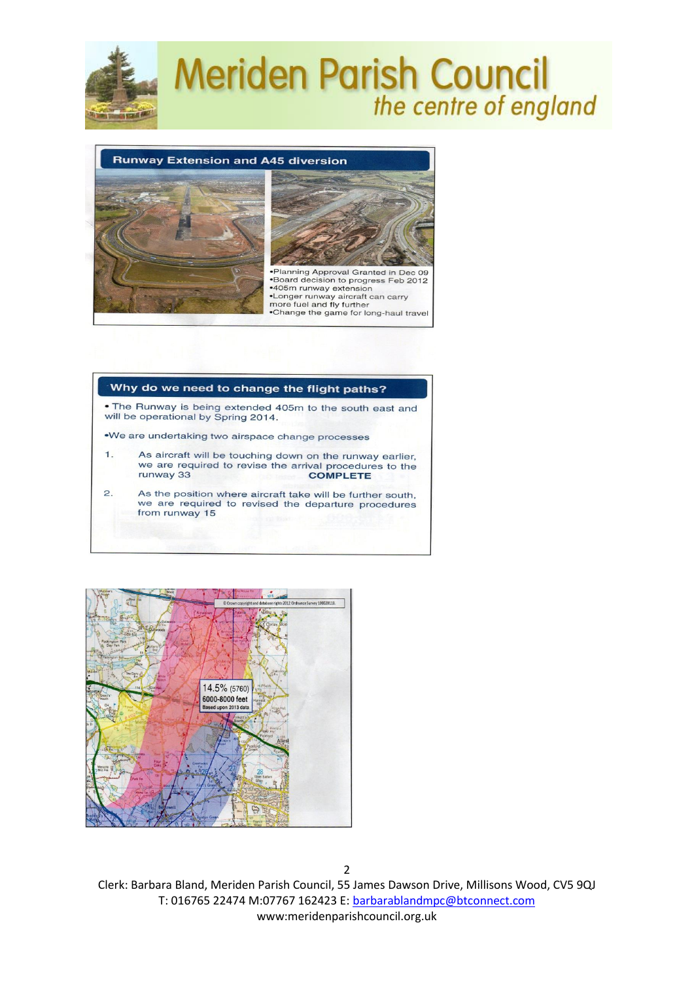



#### Why do we need to change the flight paths?

• The Runway is being extended 405m to the south east and will be operational by Spring 2014.

.We are undertaking two airspace change processes

- As aircraft will be touching down on the runway earlier,  $1.$ we are required to revise the arrival procedures to the runway 33 **COMPLETE**
- $\overline{2}$ . As the position where aircraft take will be further south, we are required to revised the departure procedures from runway 15

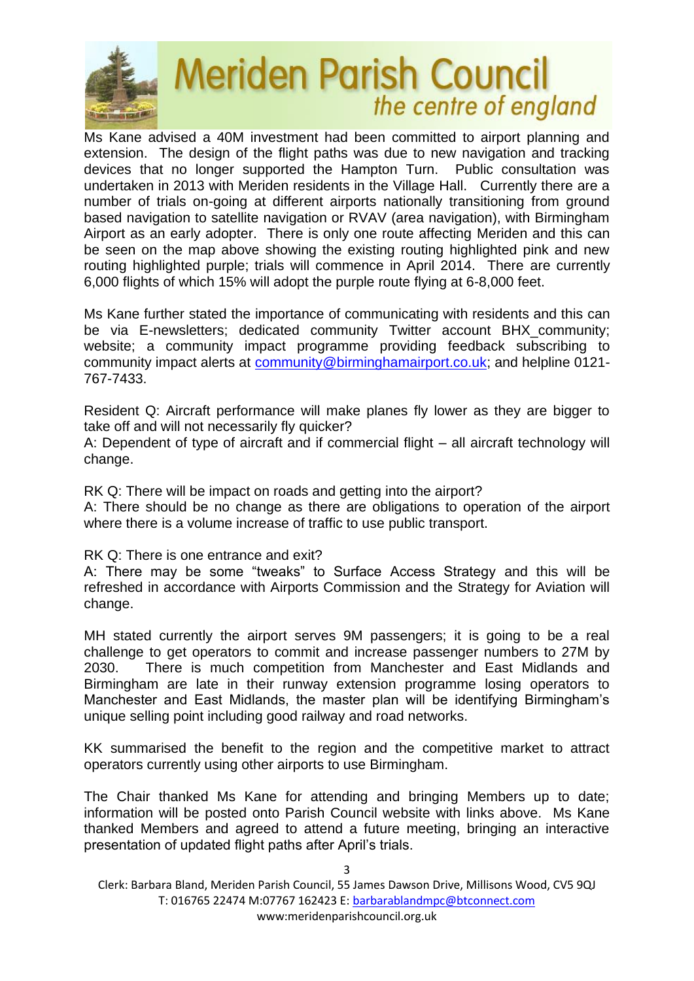

Ms Kane advised a 40M investment had been committed to airport planning and extension. The design of the flight paths was due to new navigation and tracking devices that no longer supported the Hampton Turn. Public consultation was undertaken in 2013 with Meriden residents in the Village Hall. Currently there are a number of trials on-going at different airports nationally transitioning from ground based navigation to satellite navigation or RVAV (area navigation), with Birmingham Airport as an early adopter. There is only one route affecting Meriden and this can be seen on the map above showing the existing routing highlighted pink and new routing highlighted purple; trials will commence in April 2014. There are currently 6,000 flights of which 15% will adopt the purple route flying at 6-8,000 feet.

Ms Kane further stated the importance of communicating with residents and this can be via E-newsletters; dedicated community Twitter account BHX\_community; website; a community impact programme providing feedback subscribing to community impact alerts at [community@birminghamairport.co.uk;](mailto:community@birminghamairport.co.uk) and helpline 0121- 767-7433.

Resident Q: Aircraft performance will make planes fly lower as they are bigger to take off and will not necessarily fly quicker?

A: Dependent of type of aircraft and if commercial flight – all aircraft technology will change.

RK Q: There will be impact on roads and getting into the airport?

A: There should be no change as there are obligations to operation of the airport where there is a volume increase of traffic to use public transport.

RK Q: There is one entrance and exit?

A: There may be some "tweaks" to Surface Access Strategy and this will be refreshed in accordance with Airports Commission and the Strategy for Aviation will change.

MH stated currently the airport serves 9M passengers; it is going to be a real challenge to get operators to commit and increase passenger numbers to 27M by 2030. There is much competition from Manchester and East Midlands and Birmingham are late in their runway extension programme losing operators to Manchester and East Midlands, the master plan will be identifying Birmingham's unique selling point including good railway and road networks.

KK summarised the benefit to the region and the competitive market to attract operators currently using other airports to use Birmingham.

The Chair thanked Ms Kane for attending and bringing Members up to date; information will be posted onto Parish Council website with links above. Ms Kane thanked Members and agreed to attend a future meeting, bringing an interactive presentation of updated flight paths after April's trials.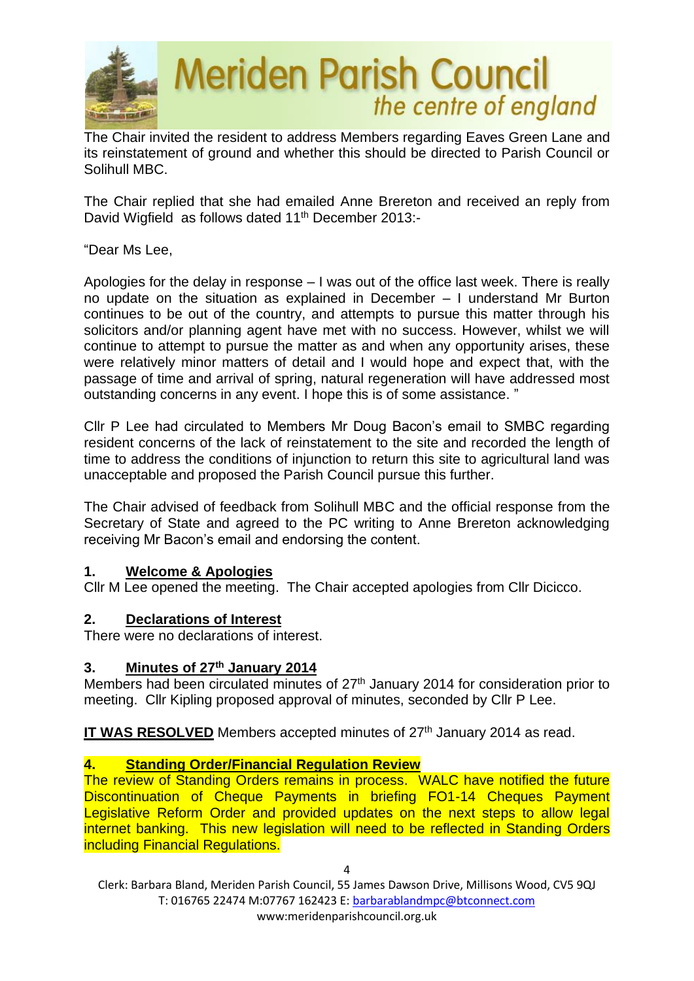

The Chair invited the resident to address Members regarding Eaves Green Lane and its reinstatement of ground and whether this should be directed to Parish Council or Solihull MBC.

The Chair replied that she had emailed Anne Brereton and received an reply from David Wigfield as follows dated 11<sup>th</sup> December 2013:-

"Dear Ms Lee,

Apologies for the delay in response – I was out of the office last week. There is really no update on the situation as explained in December – I understand Mr Burton continues to be out of the country, and attempts to pursue this matter through his solicitors and/or planning agent have met with no success. However, whilst we will continue to attempt to pursue the matter as and when any opportunity arises, these were relatively minor matters of detail and I would hope and expect that, with the passage of time and arrival of spring, natural regeneration will have addressed most outstanding concerns in any event. I hope this is of some assistance. "

Cllr P Lee had circulated to Members Mr Doug Bacon's email to SMBC regarding resident concerns of the lack of reinstatement to the site and recorded the length of time to address the conditions of injunction to return this site to agricultural land was unacceptable and proposed the Parish Council pursue this further.

The Chair advised of feedback from Solihull MBC and the official response from the Secretary of State and agreed to the PC writing to Anne Brereton acknowledging receiving Mr Bacon's email and endorsing the content.

# **1. Welcome & Apologies**

Cllr M Lee opened the meeting. The Chair accepted apologies from Cllr Dicicco.

### **2. Declarations of Interest**

There were no declarations of interest.

### **3. Minutes of 27th January 2014**

Members had been circulated minutes of 27<sup>th</sup> January 2014 for consideration prior to meeting. Cllr Kipling proposed approval of minutes, seconded by Cllr P Lee.

**IT WAS RESOLVED** Members accepted minutes of 27<sup>th</sup> January 2014 as read.

# **4. Standing Order/Financial Regulation Review**

The review of Standing Orders remains in process. WALC have notified the future Discontinuation of Cheque Payments in briefing FO1-14 Cheques Payment Legislative Reform Order and provided updates on the next steps to allow legal internet banking. This new legislation will need to be reflected in Standing Orders including Financial Regulations.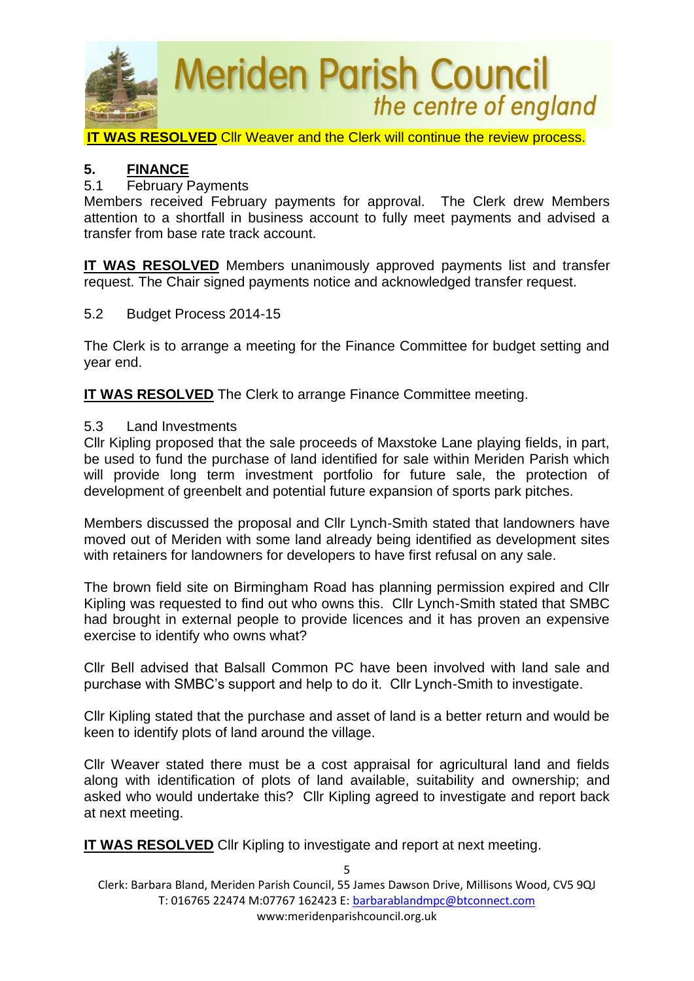

**IT WAS RESOLVED** Cllr Weaver and the Clerk will continue the review process.

### **5. FINANCE**

### 5.1 February Payments

Members received February payments for approval. The Clerk drew Members attention to a shortfall in business account to fully meet payments and advised a transfer from base rate track account.

**IT WAS RESOLVED** Members unanimously approved payments list and transfer request. The Chair signed payments notice and acknowledged transfer request.

5.2 Budget Process 2014-15

The Clerk is to arrange a meeting for the Finance Committee for budget setting and year end.

**IT WAS RESOLVED** The Clerk to arrange Finance Committee meeting.

### 5.3 Land Investments

Cllr Kipling proposed that the sale proceeds of Maxstoke Lane playing fields, in part, be used to fund the purchase of land identified for sale within Meriden Parish which will provide long term investment portfolio for future sale, the protection of development of greenbelt and potential future expansion of sports park pitches.

Members discussed the proposal and Cllr Lynch-Smith stated that landowners have moved out of Meriden with some land already being identified as development sites with retainers for landowners for developers to have first refusal on any sale.

The brown field site on Birmingham Road has planning permission expired and Cllr Kipling was requested to find out who owns this. Cllr Lynch-Smith stated that SMBC had brought in external people to provide licences and it has proven an expensive exercise to identify who owns what?

Cllr Bell advised that Balsall Common PC have been involved with land sale and purchase with SMBC's support and help to do it. Cllr Lynch-Smith to investigate.

Cllr Kipling stated that the purchase and asset of land is a better return and would be keen to identify plots of land around the village.

Cllr Weaver stated there must be a cost appraisal for agricultural land and fields along with identification of plots of land available, suitability and ownership; and asked who would undertake this? Cllr Kipling agreed to investigate and report back at next meeting.

**IT WAS RESOLVED** Cllr Kipling to investigate and report at next meeting.

Clerk: Barbara Bland, Meriden Parish Council, 55 James Dawson Drive, Millisons Wood, CV5 9QJ T: 016765 22474 M:07767 162423 E[: barbarablandmpc@btconnect.com](mailto:barbarablandmpc@btconnect.com) www:meridenparishcouncil.org.uk

5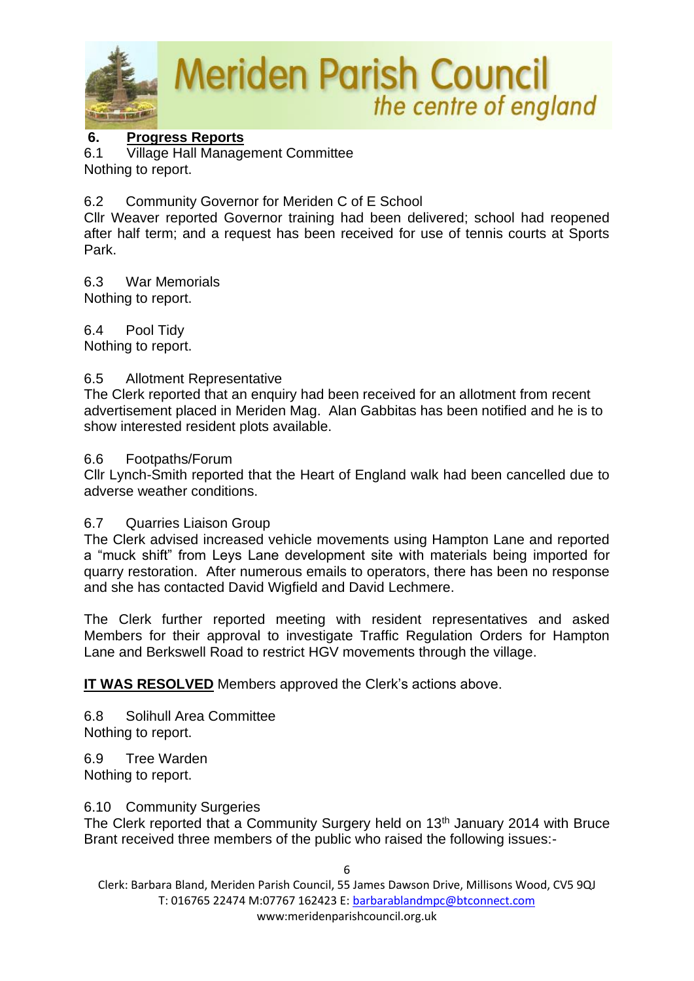

### **6. Progress Reports**

6.1 Village Hall Management Committee Nothing to report.

6.2 Community Governor for Meriden C of E School

Cllr Weaver reported Governor training had been delivered; school had reopened after half term; and a request has been received for use of tennis courts at Sports Park.

6.3 War Memorials Nothing to report.

6.4 Pool Tidy Nothing to report.

### 6.5 Allotment Representative

The Clerk reported that an enquiry had been received for an allotment from recent advertisement placed in Meriden Mag. Alan Gabbitas has been notified and he is to show interested resident plots available.

### 6.6 Footpaths/Forum

Cllr Lynch-Smith reported that the Heart of England walk had been cancelled due to adverse weather conditions.

### 6.7 Quarries Liaison Group

The Clerk advised increased vehicle movements using Hampton Lane and reported a "muck shift" from Leys Lane development site with materials being imported for quarry restoration. After numerous emails to operators, there has been no response and she has contacted David Wigfield and David Lechmere.

The Clerk further reported meeting with resident representatives and asked Members for their approval to investigate Traffic Regulation Orders for Hampton Lane and Berkswell Road to restrict HGV movements through the village.

**IT WAS RESOLVED** Members approved the Clerk's actions above.

6.8 Solihull Area Committee Nothing to report.

6.9 Tree Warden Nothing to report.

#### 6.10 Community Surgeries

The Clerk reported that a Community Surgery held on 13<sup>th</sup> January 2014 with Bruce Brant received three members of the public who raised the following issues:-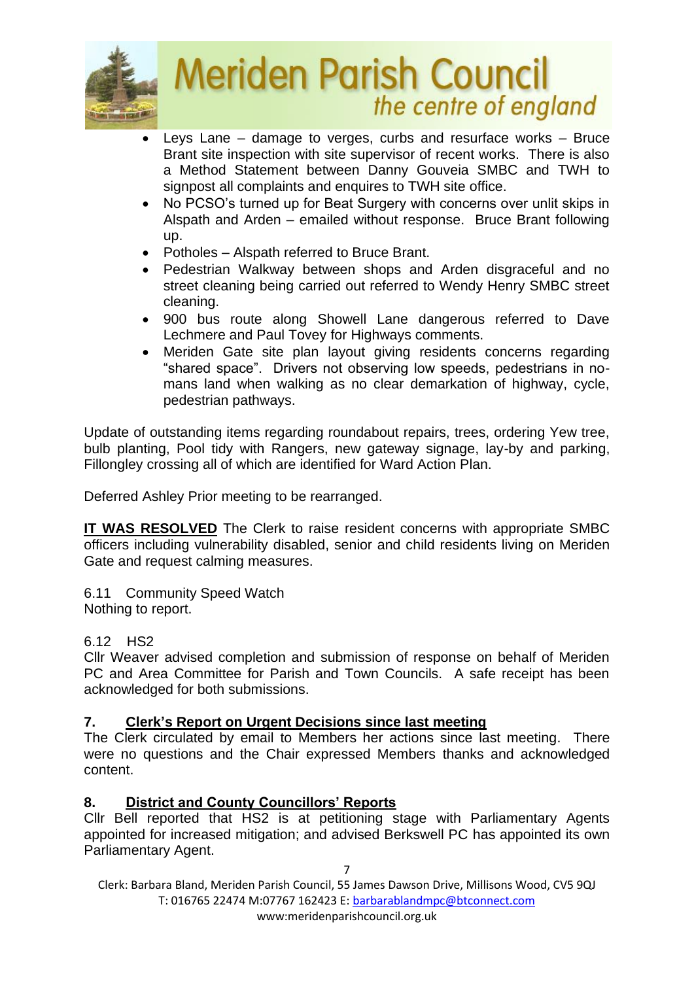

- Leys Lane damage to verges, curbs and resurface works Bruce Brant site inspection with site supervisor of recent works. There is also a Method Statement between Danny Gouveia SMBC and TWH to signpost all complaints and enquires to TWH site office.
- No PCSO's turned up for Beat Surgery with concerns over unlit skips in Alspath and Arden – emailed without response. Bruce Brant following up.
- Potholes Alspath referred to Bruce Brant.
- Pedestrian Walkway between shops and Arden disgraceful and no street cleaning being carried out referred to Wendy Henry SMBC street cleaning.
- 900 bus route along Showell Lane dangerous referred to Dave Lechmere and Paul Tovey for Highways comments.
- Meriden Gate site plan layout giving residents concerns regarding "shared space". Drivers not observing low speeds, pedestrians in nomans land when walking as no clear demarkation of highway, cycle, pedestrian pathways.

Update of outstanding items regarding roundabout repairs, trees, ordering Yew tree, bulb planting, Pool tidy with Rangers, new gateway signage, lay-by and parking, Fillongley crossing all of which are identified for Ward Action Plan.

Deferred Ashley Prior meeting to be rearranged.

**IT WAS RESOLVED** The Clerk to raise resident concerns with appropriate SMBC officers including vulnerability disabled, senior and child residents living on Meriden Gate and request calming measures.

6.11 Community Speed Watch Nothing to report.

# 6.12 HS2

Cllr Weaver advised completion and submission of response on behalf of Meriden PC and Area Committee for Parish and Town Councils. A safe receipt has been acknowledged for both submissions.

# **7. Clerk's Report on Urgent Decisions since last meeting**

The Clerk circulated by email to Members her actions since last meeting. There were no questions and the Chair expressed Members thanks and acknowledged content.

# **8. District and County Councillors' Reports**

Cllr Bell reported that HS2 is at petitioning stage with Parliamentary Agents appointed for increased mitigation; and advised Berkswell PC has appointed its own Parliamentary Agent.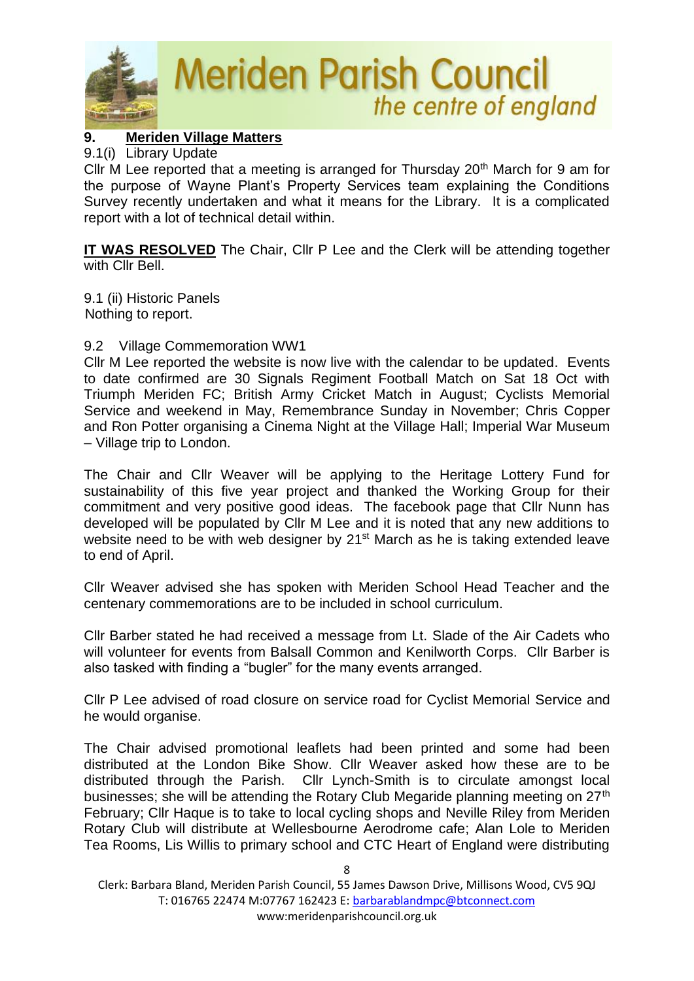

# **9. Meriden Village Matters**

### 9.1(i) Library Update

Cllr M Lee reported that a meeting is arranged for Thursday  $20<sup>th</sup>$  March for 9 am for the purpose of Wayne Plant's Property Services team explaining the Conditions Survey recently undertaken and what it means for the Library. It is a complicated report with a lot of technical detail within.

**IT WAS RESOLVED** The Chair, Cllr P Lee and the Clerk will be attending together with Cllr Bell.

9.1 (ii) Historic Panels Nothing to report.

### 9.2 Village Commemoration WW1

Cllr M Lee reported the website is now live with the calendar to be updated. Events to date confirmed are 30 Signals Regiment Football Match on Sat 18 Oct with Triumph Meriden FC; British Army Cricket Match in August; Cyclists Memorial Service and weekend in May, Remembrance Sunday in November; Chris Copper and Ron Potter organising a Cinema Night at the Village Hall; Imperial War Museum – Village trip to London.

The Chair and Cllr Weaver will be applying to the Heritage Lottery Fund for sustainability of this five year project and thanked the Working Group for their commitment and very positive good ideas. The facebook page that Cllr Nunn has developed will be populated by Cllr M Lee and it is noted that any new additions to website need to be with web designer by 21<sup>st</sup> March as he is taking extended leave to end of April.

Cllr Weaver advised she has spoken with Meriden School Head Teacher and the centenary commemorations are to be included in school curriculum.

Cllr Barber stated he had received a message from Lt. Slade of the Air Cadets who will volunteer for events from Balsall Common and Kenilworth Corps. Cllr Barber is also tasked with finding a "bugler" for the many events arranged.

Cllr P Lee advised of road closure on service road for Cyclist Memorial Service and he would organise.

The Chair advised promotional leaflets had been printed and some had been distributed at the London Bike Show. Cllr Weaver asked how these are to be distributed through the Parish. Cllr Lynch-Smith is to circulate amongst local businesses; she will be attending the Rotary Club Megaride planning meeting on 27<sup>th</sup> February; Cllr Haque is to take to local cycling shops and Neville Riley from Meriden Rotary Club will distribute at Wellesbourne Aerodrome cafe; Alan Lole to Meriden Tea Rooms, Lis Willis to primary school and CTC Heart of England were distributing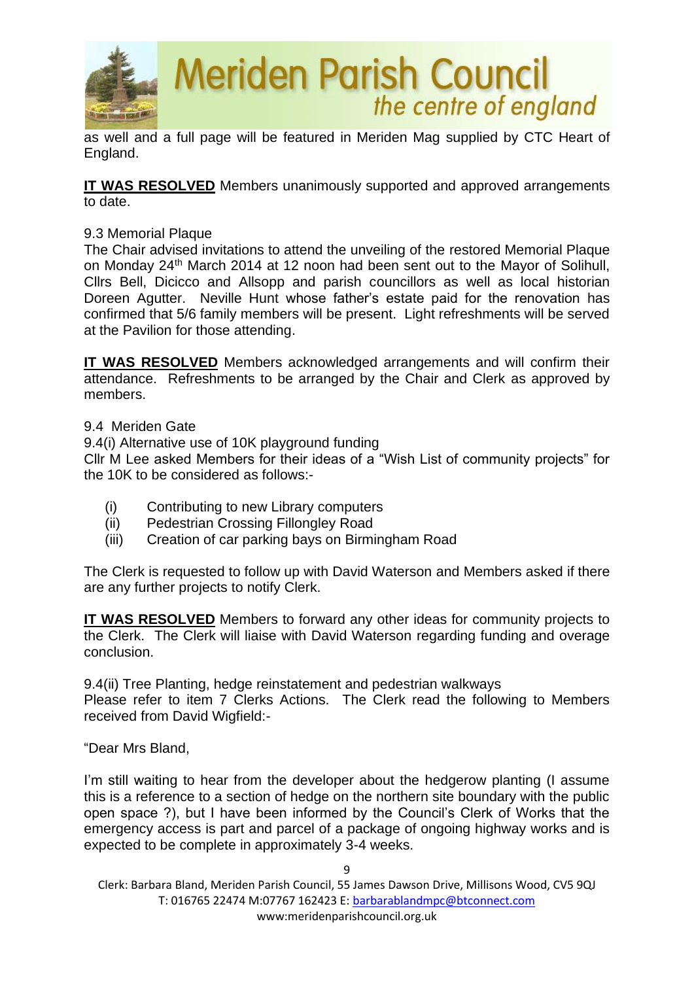

as well and a full page will be featured in Meriden Mag supplied by CTC Heart of England.

**IT WAS RESOLVED** Members unanimously supported and approved arrangements to date.

### 9.3 Memorial Plaque

The Chair advised invitations to attend the unveiling of the restored Memorial Plaque on Monday 24th March 2014 at 12 noon had been sent out to the Mayor of Solihull, Cllrs Bell, Dicicco and Allsopp and parish councillors as well as local historian Doreen Agutter. Neville Hunt whose father's estate paid for the renovation has confirmed that 5/6 family members will be present. Light refreshments will be served at the Pavilion for those attending.

**IT WAS RESOLVED** Members acknowledged arrangements and will confirm their attendance. Refreshments to be arranged by the Chair and Clerk as approved by members.

9.4 Meriden Gate

9.4(i) Alternative use of 10K playground funding

Cllr M Lee asked Members for their ideas of a "Wish List of community projects" for the 10K to be considered as follows:-

- (i) Contributing to new Library computers
- (ii) Pedestrian Crossing Fillongley Road
- (iii) Creation of car parking bays on Birmingham Road

The Clerk is requested to follow up with David Waterson and Members asked if there are any further projects to notify Clerk.

**IT WAS RESOLVED** Members to forward any other ideas for community projects to the Clerk. The Clerk will liaise with David Waterson regarding funding and overage conclusion.

9.4(ii) Tree Planting, hedge reinstatement and pedestrian walkways Please refer to item 7 Clerks Actions. The Clerk read the following to Members received from David Wigfield:-

"Dear Mrs Bland,

I'm still waiting to hear from the developer about the hedgerow planting (I assume this is a reference to a section of hedge on the northern site boundary with the public open space ?), but I have been informed by the Council's Clerk of Works that the emergency access is part and parcel of a package of ongoing highway works and is expected to be complete in approximately 3-4 weeks.

9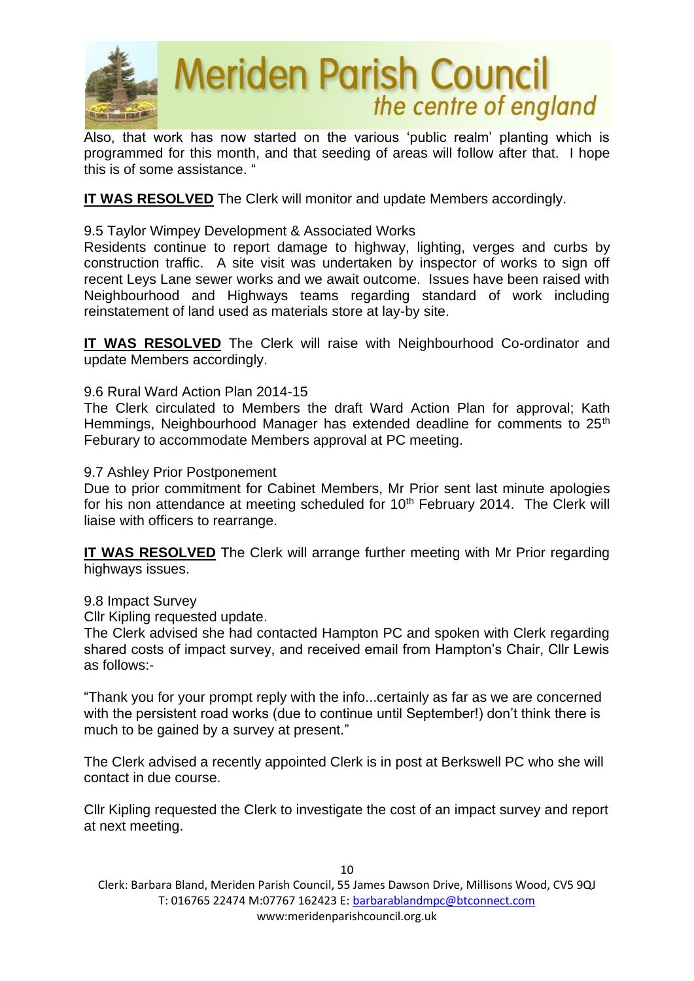

Also, that work has now started on the various 'public realm' planting which is programmed for this month, and that seeding of areas will follow after that. I hope this is of some assistance. "

# **IT WAS RESOLVED** The Clerk will monitor and update Members accordingly.

9.5 Taylor Wimpey Development & Associated Works

Residents continue to report damage to highway, lighting, verges and curbs by construction traffic. A site visit was undertaken by inspector of works to sign off recent Leys Lane sewer works and we await outcome. Issues have been raised with Neighbourhood and Highways teams regarding standard of work including reinstatement of land used as materials store at lay-by site.

**IT WAS RESOLVED** The Clerk will raise with Neighbourhood Co-ordinator and update Members accordingly.

### 9.6 Rural Ward Action Plan 2014-15

The Clerk circulated to Members the draft Ward Action Plan for approval; Kath Hemmings, Neighbourhood Manager has extended deadline for comments to 25<sup>th</sup> Feburary to accommodate Members approval at PC meeting.

#### 9.7 Ashley Prior Postponement

Due to prior commitment for Cabinet Members, Mr Prior sent last minute apologies for his non attendance at meeting scheduled for 10<sup>th</sup> February 2014. The Clerk will liaise with officers to rearrange.

**IT WAS RESOLVED** The Clerk will arrange further meeting with Mr Prior regarding highways issues.

#### 9.8 Impact Survey

Cllr Kipling requested update.

The Clerk advised she had contacted Hampton PC and spoken with Clerk regarding shared costs of impact survey, and received email from Hampton's Chair, Cllr Lewis as follows:-

"Thank you for your prompt reply with the info...certainly as far as we are concerned with the persistent road works (due to continue until September!) don't think there is much to be gained by a survey at present."

The Clerk advised a recently appointed Clerk is in post at Berkswell PC who she will contact in due course.

Cllr Kipling requested the Clerk to investigate the cost of an impact survey and report at next meeting.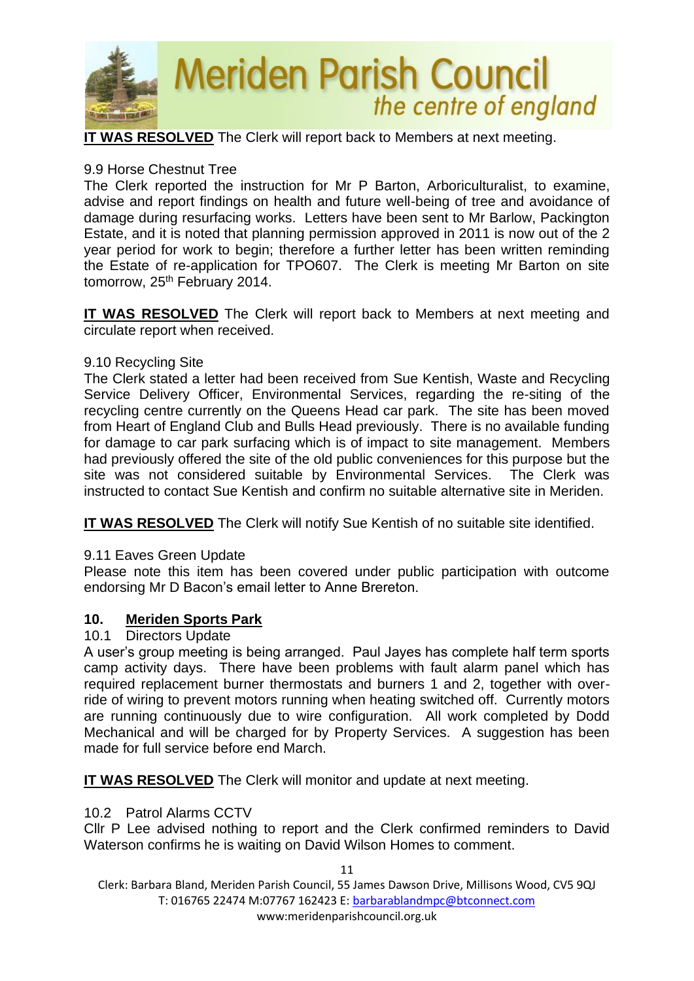

**IT WAS RESOLVED** The Clerk will report back to Members at next meeting.

### 9.9 Horse Chestnut Tree

The Clerk reported the instruction for Mr P Barton, Arboriculturalist, to examine, advise and report findings on health and future well-being of tree and avoidance of damage during resurfacing works. Letters have been sent to Mr Barlow, Packington Estate, and it is noted that planning permission approved in 2011 is now out of the 2 year period for work to begin; therefore a further letter has been written reminding the Estate of re-application for TPO607. The Clerk is meeting Mr Barton on site tomorrow, 25<sup>th</sup> February 2014.

**IT WAS RESOLVED** The Clerk will report back to Members at next meeting and circulate report when received.

### 9.10 Recycling Site

The Clerk stated a letter had been received from Sue Kentish, Waste and Recycling Service Delivery Officer, Environmental Services, regarding the re-siting of the recycling centre currently on the Queens Head car park. The site has been moved from Heart of England Club and Bulls Head previously. There is no available funding for damage to car park surfacing which is of impact to site management. Members had previously offered the site of the old public conveniences for this purpose but the site was not considered suitable by Environmental Services. The Clerk was instructed to contact Sue Kentish and confirm no suitable alternative site in Meriden.

**IT WAS RESOLVED** The Clerk will notify Sue Kentish of no suitable site identified.

# 9.11 Eaves Green Update

Please note this item has been covered under public participation with outcome endorsing Mr D Bacon's email letter to Anne Brereton.

# **10. Meriden Sports Park**

### 10.1 Directors Update

A user's group meeting is being arranged. Paul Jayes has complete half term sports camp activity days. There have been problems with fault alarm panel which has required replacement burner thermostats and burners 1 and 2, together with override of wiring to prevent motors running when heating switched off. Currently motors are running continuously due to wire configuration. All work completed by Dodd Mechanical and will be charged for by Property Services. A suggestion has been made for full service before end March.

**IT WAS RESOLVED** The Clerk will monitor and update at next meeting.

### 10.2 Patrol Alarms CCTV

Cllr P Lee advised nothing to report and the Clerk confirmed reminders to David Waterson confirms he is waiting on David Wilson Homes to comment.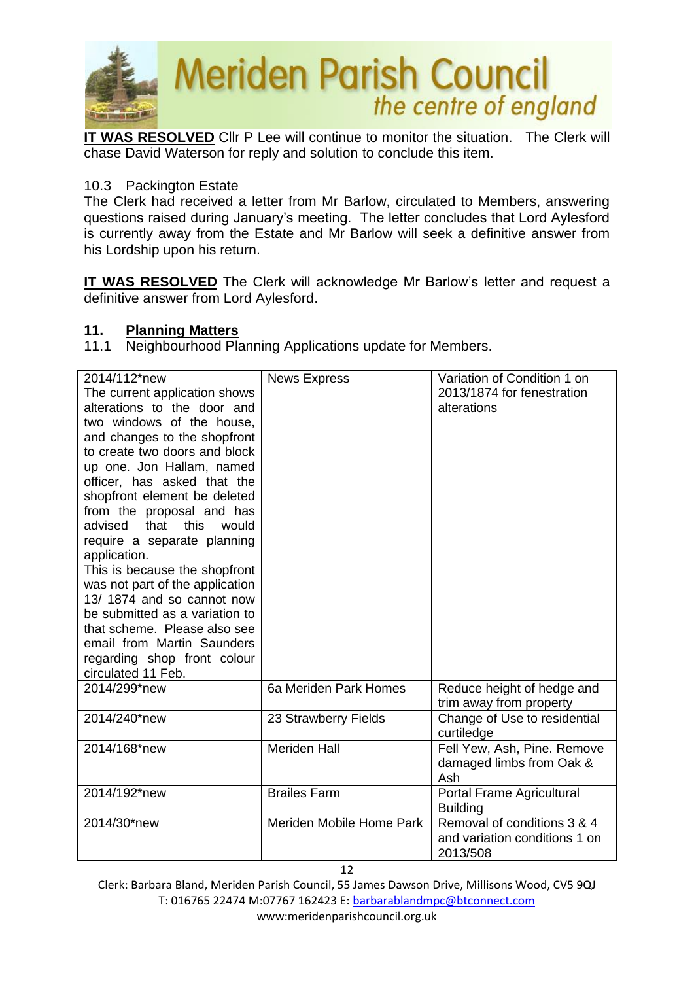

**IT WAS RESOLVED** Cllr P Lee will continue to monitor the situation. The Clerk will chase David Waterson for reply and solution to conclude this item.

### 10.3 Packington Estate

The Clerk had received a letter from Mr Barlow, circulated to Members, answering questions raised during January's meeting. The letter concludes that Lord Aylesford is currently away from the Estate and Mr Barlow will seek a definitive answer from his Lordship upon his return.

**IT WAS RESOLVED** The Clerk will acknowledge Mr Barlow's letter and request a definitive answer from Lord Aylesford.

### **11. Planning Matters**

11.1 Neighbourhood Planning Applications update for Members.

| 2014/112*new<br>The current application shows<br>alterations to the door and<br>two windows of the house,<br>and changes to the shopfront<br>to create two doors and block<br>up one. Jon Hallam, named<br>officer, has asked that the<br>shopfront element be deleted<br>from the proposal and has<br>this<br>that<br>advised<br>would<br>require a separate planning<br>application.<br>This is because the shopfront<br>was not part of the application<br>13/1874 and so cannot now<br>be submitted as a variation to<br>that scheme. Please also see<br>email from Martin Saunders<br>regarding shop front colour<br>circulated 11 Feb. | <b>News Express</b>      | Variation of Condition 1 on<br>2013/1874 for fenestration<br>alterations |
|----------------------------------------------------------------------------------------------------------------------------------------------------------------------------------------------------------------------------------------------------------------------------------------------------------------------------------------------------------------------------------------------------------------------------------------------------------------------------------------------------------------------------------------------------------------------------------------------------------------------------------------------|--------------------------|--------------------------------------------------------------------------|
| 2014/299*new                                                                                                                                                                                                                                                                                                                                                                                                                                                                                                                                                                                                                                 | 6a Meriden Park Homes    | Reduce height of hedge and<br>trim away from property                    |
| 2014/240*new                                                                                                                                                                                                                                                                                                                                                                                                                                                                                                                                                                                                                                 | 23 Strawberry Fields     | Change of Use to residential<br>curtiledge                               |
| 2014/168*new                                                                                                                                                                                                                                                                                                                                                                                                                                                                                                                                                                                                                                 | <b>Meriden Hall</b>      | Fell Yew, Ash, Pine. Remove<br>damaged limbs from Oak &<br>Ash           |
| 2014/192*new                                                                                                                                                                                                                                                                                                                                                                                                                                                                                                                                                                                                                                 | <b>Brailes Farm</b>      | Portal Frame Agricultural<br><b>Building</b>                             |
| 2014/30*new                                                                                                                                                                                                                                                                                                                                                                                                                                                                                                                                                                                                                                  | Meriden Mobile Home Park | Removal of conditions 3 & 4<br>and variation conditions 1 on<br>2013/508 |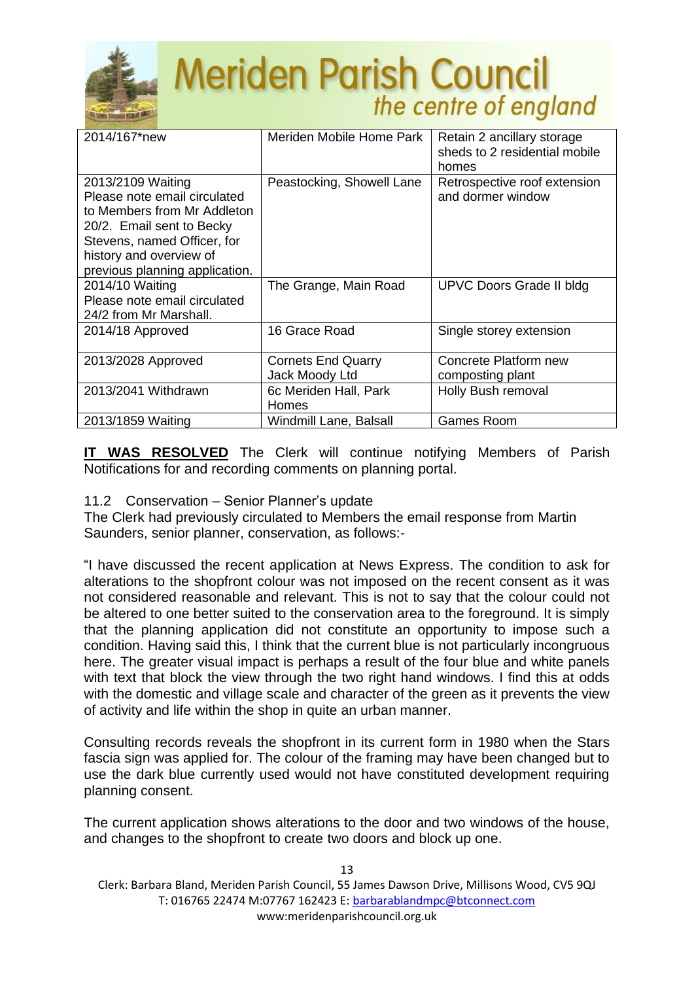

| 2014/167*new                                                                                                                                                                                              | Meriden Mobile Home Park                    | Retain 2 ancillary storage<br>sheds to 2 residential mobile<br>homes |
|-----------------------------------------------------------------------------------------------------------------------------------------------------------------------------------------------------------|---------------------------------------------|----------------------------------------------------------------------|
| 2013/2109 Waiting<br>Please note email circulated<br>to Members from Mr Addleton<br>20/2. Email sent to Becky<br>Stevens, named Officer, for<br>history and overview of<br>previous planning application. | Peastocking, Showell Lane                   | Retrospective roof extension<br>and dormer window                    |
| 2014/10 Waiting<br>Please note email circulated<br>24/2 from Mr Marshall.                                                                                                                                 | The Grange, Main Road                       | UPVC Doors Grade II bldg                                             |
| 2014/18 Approved                                                                                                                                                                                          | 16 Grace Road                               | Single storey extension                                              |
| 2013/2028 Approved                                                                                                                                                                                        | <b>Cornets End Quarry</b><br>Jack Moody Ltd | Concrete Platform new<br>composting plant                            |
| 2013/2041 Withdrawn                                                                                                                                                                                       | 6c Meriden Hall, Park<br>Homes              | Holly Bush removal                                                   |
| 2013/1859 Waiting                                                                                                                                                                                         | Windmill Lane, Balsall                      | <b>Games Room</b>                                                    |
|                                                                                                                                                                                                           |                                             |                                                                      |

**IT WAS RESOLVED** The Clerk will continue notifying Members of Parish Notifications for and recording comments on planning portal.

11.2 Conservation – Senior Planner's update

The Clerk had previously circulated to Members the email response from Martin Saunders, senior planner, conservation, as follows:-

"I have discussed the recent application at News Express. The condition to ask for alterations to the shopfront colour was not imposed on the recent consent as it was not considered reasonable and relevant. This is not to say that the colour could not be altered to one better suited to the conservation area to the foreground. It is simply that the planning application did not constitute an opportunity to impose such a condition. Having said this, I think that the current blue is not particularly incongruous here. The greater visual impact is perhaps a result of the four blue and white panels with text that block the view through the two right hand windows. I find this at odds with the domestic and village scale and character of the green as it prevents the view of activity and life within the shop in quite an urban manner.

Consulting records reveals the shopfront in its current form in 1980 when the Stars fascia sign was applied for. The colour of the framing may have been changed but to use the dark blue currently used would not have constituted development requiring planning consent.

The current application shows alterations to the door and two windows of the house, and changes to the shopfront to create two doors and block up one.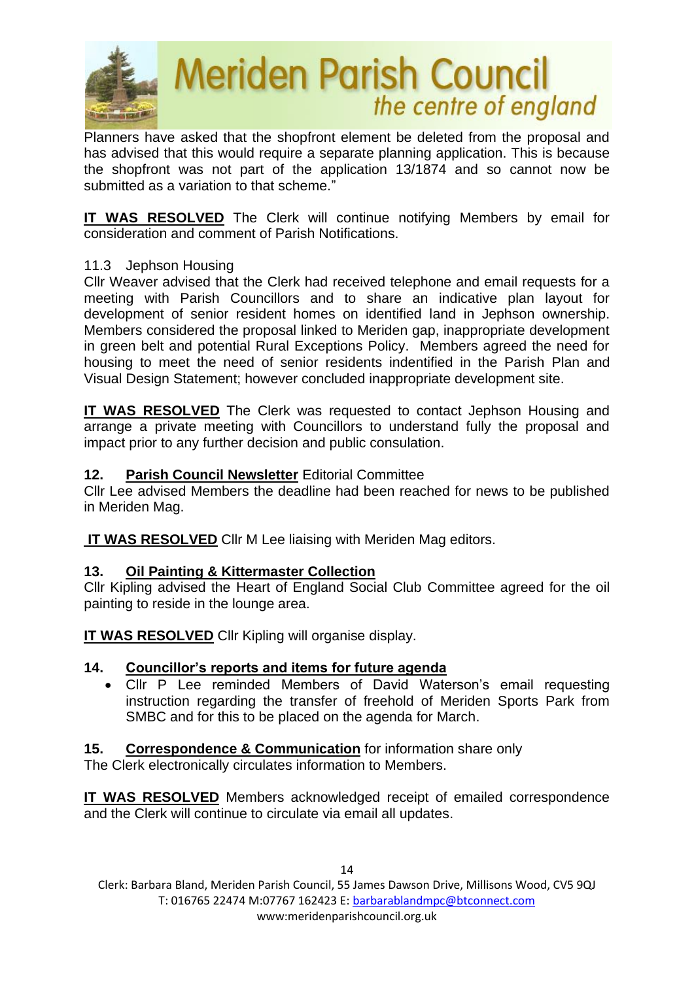

Planners have asked that the shopfront element be deleted from the proposal and has advised that this would require a separate planning application. This is because the shopfront was not part of the application 13/1874 and so cannot now be submitted as a variation to that scheme."

**IT WAS RESOLVED** The Clerk will continue notifying Members by email for consideration and comment of Parish Notifications.

# 11.3 Jephson Housing

Cllr Weaver advised that the Clerk had received telephone and email requests for a meeting with Parish Councillors and to share an indicative plan layout for development of senior resident homes on identified land in Jephson ownership. Members considered the proposal linked to Meriden gap, inappropriate development in green belt and potential Rural Exceptions Policy. Members agreed the need for housing to meet the need of senior residents indentified in the Parish Plan and Visual Design Statement; however concluded inappropriate development site.

**IT WAS RESOLVED** The Clerk was requested to contact Jephson Housing and arrange a private meeting with Councillors to understand fully the proposal and impact prior to any further decision and public consulation.

### **12. Parish Council Newsletter** Editorial Committee

Cllr Lee advised Members the deadline had been reached for news to be published in Meriden Mag.

**IT WAS RESOLVED** Cllr M Lee liaising with Meriden Mag editors.

### **13. Oil Painting & Kittermaster Collection**

Cllr Kipling advised the Heart of England Social Club Committee agreed for the oil painting to reside in the lounge area.

**IT WAS RESOLVED** Cllr Kipling will organise display.

# **14. Councillor's reports and items for future agenda**

- Cllr P Lee reminded Members of David Waterson's email requesting instruction regarding the transfer of freehold of Meriden Sports Park from SMBC and for this to be placed on the agenda for March.
- **15. Correspondence & Communication** for information share only

The Clerk electronically circulates information to Members.

**IT WAS RESOLVED** Members acknowledged receipt of emailed correspondence and the Clerk will continue to circulate via email all updates.